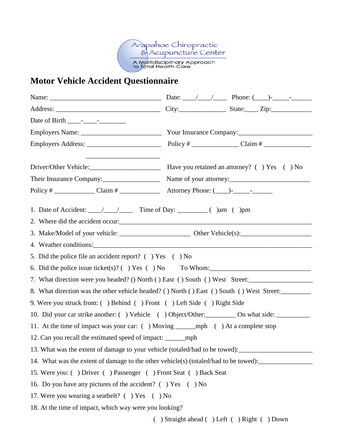

## **Motor Vehicle Accident Questionnaire**

| Their Insurance Company:                                                             | Name of your attorney:                                                                               |
|--------------------------------------------------------------------------------------|------------------------------------------------------------------------------------------------------|
|                                                                                      |                                                                                                      |
|                                                                                      |                                                                                                      |
|                                                                                      |                                                                                                      |
|                                                                                      |                                                                                                      |
|                                                                                      |                                                                                                      |
| 5. Did the police file an accident report? () Yes () No                              |                                                                                                      |
|                                                                                      | 6. Did the police issue ticket(s)? $( )$ Yes $( )$ No To Whom:                                       |
|                                                                                      | 7. What direction were you headed? () North () East () South () West Street:                         |
|                                                                                      | 8. What direction was the other vehicle headed? () North () East () South () West Street:            |
| 9. Were you struck from: () Behind () Front () Left Side () Right Side               |                                                                                                      |
|                                                                                      | 10. Did your car strike another: () Vehicle () Object/Other: _________ On what side: __________      |
| 11. At the time of impact was your car: () Moving ________ mph () At a complete stop |                                                                                                      |
| 12. Can you recall the estimated speed of impact: _______________________________    |                                                                                                      |
|                                                                                      | 13. What was the extent of damage to your vehicle (totaled/had to be towed): _______________________ |
|                                                                                      | 14. What was the extent of damage to the other vehicle(s) (totaled/had to be towed):                 |
| 15. Were you: () Driver () Passenger () Front Seat () Back Seat                      |                                                                                                      |
| 16. Do you have any pictures of the accident? () Yes () No                           |                                                                                                      |
| 17. Were you wearing a seatbelt? ( ) Yes ( ) No                                      |                                                                                                      |
| 18. At the time of impact, which way were you looking?                               |                                                                                                      |

( ) Straight ahead ( ) Left ( ) Right ( ) Down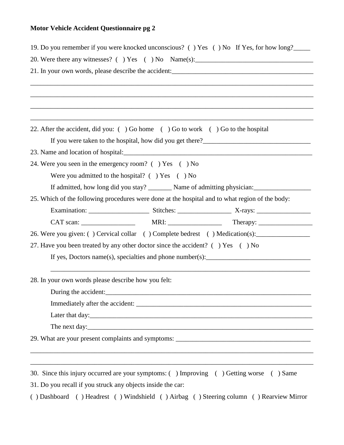## **Motor Vehicle Accident Questionnaire pg 2**

| 19. Do you remember if you were knocked unconscious? () Yes () No If Yes, for how long?         |
|-------------------------------------------------------------------------------------------------|
| 20. Were there any witnesses? () Yes () No Name(s): _____________________________               |
|                                                                                                 |
|                                                                                                 |
|                                                                                                 |
|                                                                                                 |
|                                                                                                 |
| 22. After the accident, did you: () Go home () Go to work () Go to the hospital                 |
|                                                                                                 |
|                                                                                                 |
| 24. Were you seen in the emergency room? () Yes () No                                           |
| Were you admitted to the hospital? $( )$ Yes $( )$ No                                           |
|                                                                                                 |
| 25. Which of the following procedures were done at the hospital and to what region of the body: |
|                                                                                                 |
|                                                                                                 |
| 26. Were you given: () Cervical collar () Complete bedrest () Medication(s):                    |
| 27. Have you been treated by any other doctor since the accident? () Yes () No                  |
| If yes, Doctors name(s), specialties and phone number(s): $\frac{1}{2}$                         |
|                                                                                                 |
| 28. In your own words please describe how you felt:                                             |
| During the accident:                                                                            |
|                                                                                                 |
|                                                                                                 |
|                                                                                                 |
| 29. What are your present complaints and symptoms: ______________________________               |
|                                                                                                 |
|                                                                                                 |
| 30. Since this injury occurred are your symptoms: () Improving () Getting worse () Same         |

31. Do you recall if you struck any objects inside the car:

( ) Dashboard ( ) Headrest ( ) Windshield ( ) Airbag ( ) Steering column ( ) Rearview Mirror